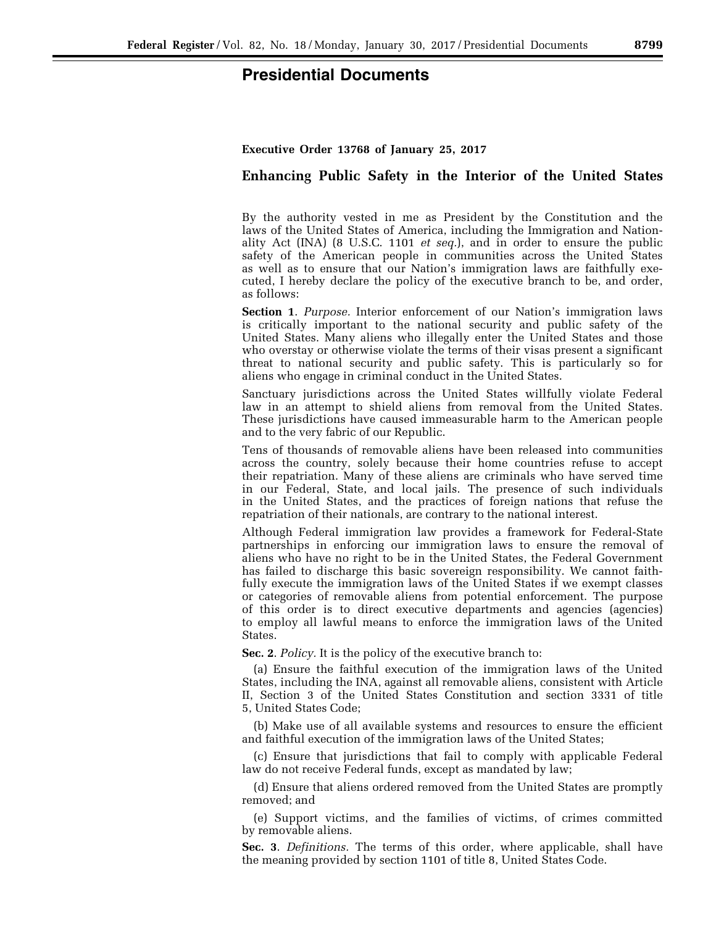## **Presidential Documents**

## **Executive Order 13768 of January 25, 2017**

## **Enhancing Public Safety in the Interior of the United States**

By the authority vested in me as President by the Constitution and the laws of the United States of America, including the Immigration and Nationality Act (INA) (8 U.S.C. 1101 *et seq.*), and in order to ensure the public safety of the American people in communities across the United States as well as to ensure that our Nation's immigration laws are faithfully executed, I hereby declare the policy of the executive branch to be, and order, as follows:

**Section 1**. *Purpose.* Interior enforcement of our Nation's immigration laws is critically important to the national security and public safety of the United States. Many aliens who illegally enter the United States and those who overstay or otherwise violate the terms of their visas present a significant threat to national security and public safety. This is particularly so for aliens who engage in criminal conduct in the United States.

Sanctuary jurisdictions across the United States willfully violate Federal law in an attempt to shield aliens from removal from the United States. These jurisdictions have caused immeasurable harm to the American people and to the very fabric of our Republic.

Tens of thousands of removable aliens have been released into communities across the country, solely because their home countries refuse to accept their repatriation. Many of these aliens are criminals who have served time in our Federal, State, and local jails. The presence of such individuals in the United States, and the practices of foreign nations that refuse the repatriation of their nationals, are contrary to the national interest.

Although Federal immigration law provides a framework for Federal-State partnerships in enforcing our immigration laws to ensure the removal of aliens who have no right to be in the United States, the Federal Government has failed to discharge this basic sovereign responsibility. We cannot faithfully execute the immigration laws of the United States if we exempt classes or categories of removable aliens from potential enforcement. The purpose of this order is to direct executive departments and agencies (agencies) to employ all lawful means to enforce the immigration laws of the United States.

**Sec. 2**. *Policy.* It is the policy of the executive branch to:

(a) Ensure the faithful execution of the immigration laws of the United States, including the INA, against all removable aliens, consistent with Article II, Section 3 of the United States Constitution and section 3331 of title 5, United States Code;

(b) Make use of all available systems and resources to ensure the efficient and faithful execution of the immigration laws of the United States;

(c) Ensure that jurisdictions that fail to comply with applicable Federal law do not receive Federal funds, except as mandated by law;

(d) Ensure that aliens ordered removed from the United States are promptly removed; and

(e) Support victims, and the families of victims, of crimes committed by removable aliens.

**Sec. 3**. *Definitions.* The terms of this order, where applicable, shall have the meaning provided by section 1101 of title 8, United States Code.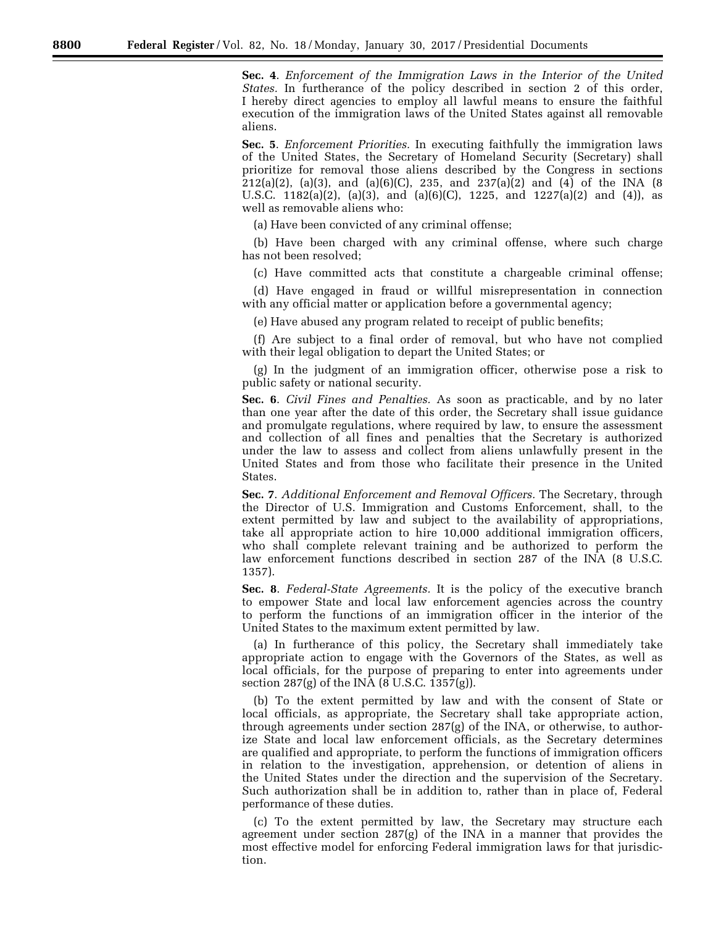**Sec. 4**. *Enforcement of the Immigration Laws in the Interior of the United States.* In furtherance of the policy described in section 2 of this order, I hereby direct agencies to employ all lawful means to ensure the faithful execution of the immigration laws of the United States against all removable aliens.

**Sec. 5**. *Enforcement Priorities.* In executing faithfully the immigration laws of the United States, the Secretary of Homeland Security (Secretary) shall prioritize for removal those aliens described by the Congress in sections 212(a)(2), (a)(3), and (a)(6)(C), 235, and 237(a)(2) and (4) of the INA (8 U.S.C. 1182(a)(2), (a)(3), and (a)(6)(C), 1225, and 1227(a)(2) and (4)), as well as removable aliens who:

(a) Have been convicted of any criminal offense;

(b) Have been charged with any criminal offense, where such charge has not been resolved;

(c) Have committed acts that constitute a chargeable criminal offense;

(d) Have engaged in fraud or willful misrepresentation in connection with any official matter or application before a governmental agency;

(e) Have abused any program related to receipt of public benefits;

(f) Are subject to a final order of removal, but who have not complied with their legal obligation to depart the United States; or

(g) In the judgment of an immigration officer, otherwise pose a risk to public safety or national security.

**Sec. 6**. *Civil Fines and Penalties.* As soon as practicable, and by no later than one year after the date of this order, the Secretary shall issue guidance and promulgate regulations, where required by law, to ensure the assessment and collection of all fines and penalties that the Secretary is authorized under the law to assess and collect from aliens unlawfully present in the United States and from those who facilitate their presence in the United States.

**Sec. 7**. *Additional Enforcement and Removal Officers.* The Secretary, through the Director of U.S. Immigration and Customs Enforcement, shall, to the extent permitted by law and subject to the availability of appropriations, take all appropriate action to hire 10,000 additional immigration officers, who shall complete relevant training and be authorized to perform the law enforcement functions described in section 287 of the INA (8 U.S.C. 1357).

**Sec. 8**. *Federal-State Agreements.* It is the policy of the executive branch to empower State and local law enforcement agencies across the country to perform the functions of an immigration officer in the interior of the United States to the maximum extent permitted by law.

(a) In furtherance of this policy, the Secretary shall immediately take appropriate action to engage with the Governors of the States, as well as local officials, for the purpose of preparing to enter into agreements under section 287(g) of the INA  $(8 \text{ U.S.C. } 1357 \text{ (g)}).$ 

(b) To the extent permitted by law and with the consent of State or local officials, as appropriate, the Secretary shall take appropriate action, through agreements under section 287(g) of the INA, or otherwise, to authorize State and local law enforcement officials, as the Secretary determines are qualified and appropriate, to perform the functions of immigration officers in relation to the investigation, apprehension, or detention of aliens in the United States under the direction and the supervision of the Secretary. Such authorization shall be in addition to, rather than in place of, Federal performance of these duties.

(c) To the extent permitted by law, the Secretary may structure each agreement under section 287(g) of the INA in a manner that provides the most effective model for enforcing Federal immigration laws for that jurisdiction.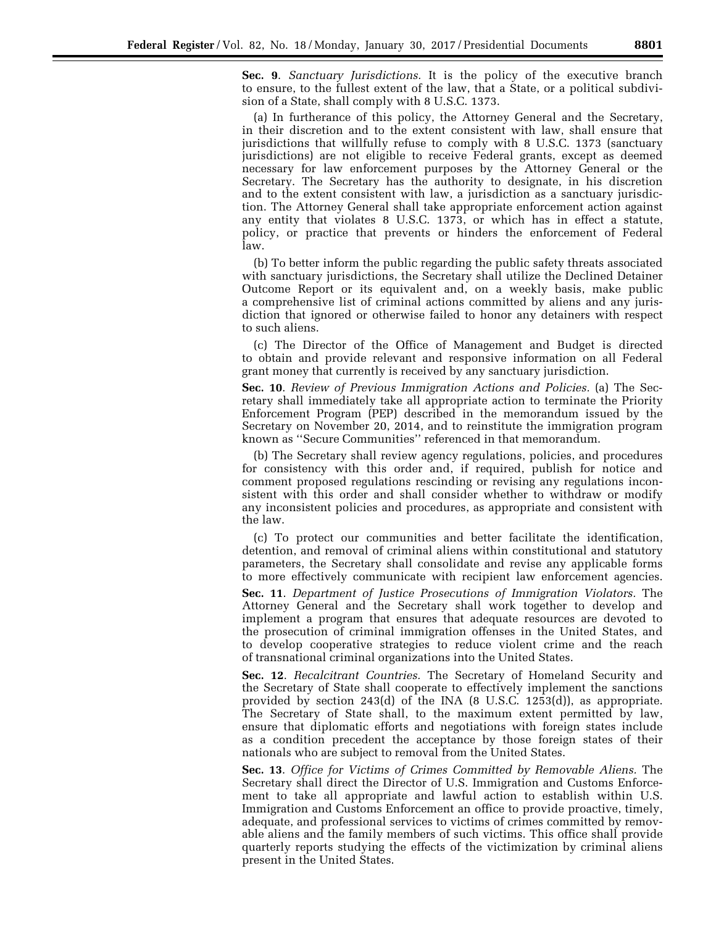**Sec. 9**. *Sanctuary Jurisdictions.* It is the policy of the executive branch to ensure, to the fullest extent of the law, that a State, or a political subdivision of a State, shall comply with 8 U.S.C. 1373.

(a) In furtherance of this policy, the Attorney General and the Secretary, in their discretion and to the extent consistent with law, shall ensure that jurisdictions that willfully refuse to comply with 8 U.S.C. 1373 (sanctuary jurisdictions) are not eligible to receive Federal grants, except as deemed necessary for law enforcement purposes by the Attorney General or the Secretary. The Secretary has the authority to designate, in his discretion and to the extent consistent with law, a jurisdiction as a sanctuary jurisdiction. The Attorney General shall take appropriate enforcement action against any entity that violates 8 U.S.C. 1373, or which has in effect a statute, policy, or practice that prevents or hinders the enforcement of Federal law.

(b) To better inform the public regarding the public safety threats associated with sanctuary jurisdictions, the Secretary shall utilize the Declined Detainer Outcome Report or its equivalent and, on a weekly basis, make public a comprehensive list of criminal actions committed by aliens and any jurisdiction that ignored or otherwise failed to honor any detainers with respect to such aliens.

(c) The Director of the Office of Management and Budget is directed to obtain and provide relevant and responsive information on all Federal grant money that currently is received by any sanctuary jurisdiction.

**Sec. 10**. *Review of Previous Immigration Actions and Policies.* (a) The Secretary shall immediately take all appropriate action to terminate the Priority Enforcement Program (PEP) described in the memorandum issued by the Secretary on November 20, 2014, and to reinstitute the immigration program known as ''Secure Communities'' referenced in that memorandum.

(b) The Secretary shall review agency regulations, policies, and procedures for consistency with this order and, if required, publish for notice and comment proposed regulations rescinding or revising any regulations inconsistent with this order and shall consider whether to withdraw or modify any inconsistent policies and procedures, as appropriate and consistent with the law.

(c) To protect our communities and better facilitate the identification, detention, and removal of criminal aliens within constitutional and statutory parameters, the Secretary shall consolidate and revise any applicable forms to more effectively communicate with recipient law enforcement agencies.

**Sec. 11**. *Department of Justice Prosecutions of Immigration Violators.* The Attorney General and the Secretary shall work together to develop and implement a program that ensures that adequate resources are devoted to the prosecution of criminal immigration offenses in the United States, and to develop cooperative strategies to reduce violent crime and the reach of transnational criminal organizations into the United States.

**Sec. 12**. *Recalcitrant Countries.* The Secretary of Homeland Security and the Secretary of State shall cooperate to effectively implement the sanctions provided by section 243(d) of the INA  $(8 \text{ U.S.C. } 1253(d))$ , as appropriate. The Secretary of State shall, to the maximum extent permitted by law, ensure that diplomatic efforts and negotiations with foreign states include as a condition precedent the acceptance by those foreign states of their nationals who are subject to removal from the United States.

**Sec. 13**. *Office for Victims of Crimes Committed by Removable Aliens.* The Secretary shall direct the Director of U.S. Immigration and Customs Enforcement to take all appropriate and lawful action to establish within U.S. Immigration and Customs Enforcement an office to provide proactive, timely, adequate, and professional services to victims of crimes committed by removable aliens and the family members of such victims. This office shall provide quarterly reports studying the effects of the victimization by criminal aliens present in the United States.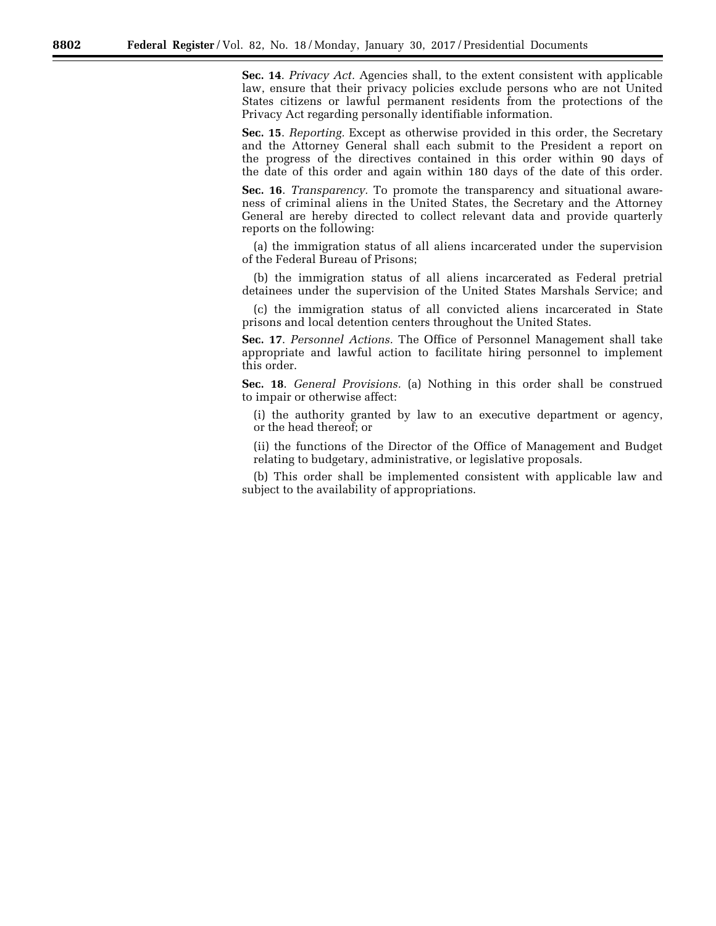**Sec. 14**. *Privacy Act.* Agencies shall, to the extent consistent with applicable law, ensure that their privacy policies exclude persons who are not United States citizens or lawful permanent residents from the protections of the Privacy Act regarding personally identifiable information.

**Sec. 15**. *Reporting.* Except as otherwise provided in this order, the Secretary and the Attorney General shall each submit to the President a report on the progress of the directives contained in this order within 90 days of the date of this order and again within 180 days of the date of this order.

**Sec. 16**. *Transparency.* To promote the transparency and situational awareness of criminal aliens in the United States, the Secretary and the Attorney General are hereby directed to collect relevant data and provide quarterly reports on the following:

(a) the immigration status of all aliens incarcerated under the supervision of the Federal Bureau of Prisons;

(b) the immigration status of all aliens incarcerated as Federal pretrial detainees under the supervision of the United States Marshals Service; and

(c) the immigration status of all convicted aliens incarcerated in State prisons and local detention centers throughout the United States.

**Sec. 17**. *Personnel Actions.* The Office of Personnel Management shall take appropriate and lawful action to facilitate hiring personnel to implement this order.

**Sec. 18**. *General Provisions.* (a) Nothing in this order shall be construed to impair or otherwise affect:

(i) the authority granted by law to an executive department or agency, or the head thereof; or

(ii) the functions of the Director of the Office of Management and Budget relating to budgetary, administrative, or legislative proposals.

(b) This order shall be implemented consistent with applicable law and subject to the availability of appropriations.